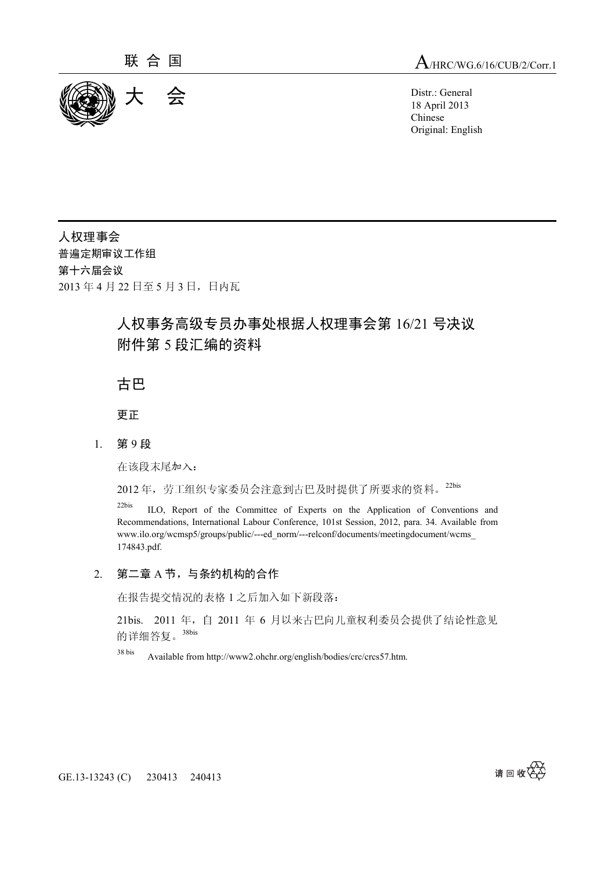

18 April 2013 Chinese Original: English

人权理事会 普遍定期审议工作组<br>第十六届会议 第十六届会议 2013 年 4 月 22 日至 5 月 3 日,日内瓦

## 人权事务高级专员办事处根据人权理事会第 16/21 号决议 附件第 5 段汇编的资料

古巴

更正

1. <sup>第</sup> <sup>9</sup> <sup>段</sup>

在该段末尾加入:

2012年, 劳工组织专家委员会注意到古巴及时提供了所要求的资料。<sup>22bis</sup>

 22bis ILO, Report of the Committee of Experts on the Application of Conventions and Recommendations, International Labour Conference, 101st Session, 2012, para. 34. Available from www.ilo.org/wcmsp5/groups/public/---ed\_norm/---relconf/documents/meetingdocument/wcms\_ 174843.pdf.

## 2. 第二章 A 节, 与条约机构的合作

在报告提交情况的表格 1 之后加入如下新段落:

21bis. 2011 年,自 2011 年 6 月以来古巴向儿童权利委员会提供了结论性意见 的详细答复。38bis

38 bis Available from http://www2.ohchr.org/english/bodies/crc/crcs57.htm.